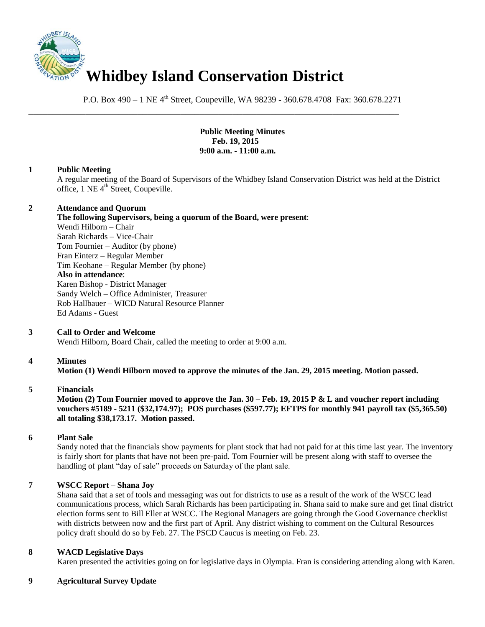

P.O. Box 490 – 1 NE 4<sup>th</sup> Street, Coupeville, WA 98239 - 360.678.4708 Fax: 360.678.2271

\_\_\_\_\_\_\_\_\_\_\_\_\_\_\_\_\_\_\_\_\_\_\_\_\_\_\_\_\_\_\_\_\_\_\_\_\_\_\_\_\_\_\_\_\_\_\_\_\_\_\_\_\_\_\_\_\_\_\_\_\_\_\_\_\_\_\_\_\_\_\_\_\_\_\_\_\_\_

**Public Meeting Minutes Feb. 19, 2015 9:00 a.m. - 11:00 a.m.**

### **1 Public Meeting**

A regular meeting of the Board of Supervisors of the Whidbey Island Conservation District was held at the District office, 1 NE 4<sup>th</sup> Street, Coupeville.

### **2 Attendance and Quorum**

**The following Supervisors, being a quorum of the Board, were present**: Wendi Hilborn – Chair Sarah Richards – Vice-Chair Tom Fournier – Auditor (by phone) Fran Einterz – Regular Member Tim Keohane – Regular Member (by phone)

**Also in attendance**: Karen Bishop - District Manager Sandy Welch – Office Administer, Treasurer Rob Hallbauer – WICD Natural Resource Planner Ed Adams - Guest

# **3 Call to Order and Welcome**

Wendi Hilborn, Board Chair, called the meeting to order at 9:00 a.m.

# **4 Minutes**

**Motion (1) Wendi Hilborn moved to approve the minutes of the Jan. 29, 2015 meeting. Motion passed.** 

#### **5 Financials**

**Motion (2) Tom Fournier moved to approve the Jan. 30 – Feb. 19, 2015 P & L and voucher report including vouchers #5189 - 5211 (\$32,174.97); POS purchases (\$597.77); EFTPS for monthly 941 payroll tax (\$5,365.50) all totaling \$38,173.17. Motion passed.** 

# **6 Plant Sale**

Sandy noted that the financials show payments for plant stock that had not paid for at this time last year. The inventory is fairly short for plants that have not been pre-paid. Tom Fournier will be present along with staff to oversee the handling of plant "day of sale" proceeds on Saturday of the plant sale.

# **7 WSCC Report – Shana Joy**

Shana said that a set of tools and messaging was out for districts to use as a result of the work of the WSCC lead communications process, which Sarah Richards has been participating in. Shana said to make sure and get final district election forms sent to Bill Eller at WSCC. The Regional Managers are going through the Good Governance checklist with districts between now and the first part of April. Any district wishing to comment on the Cultural Resources policy draft should do so by Feb. 27. The PSCD Caucus is meeting on Feb. 23.

#### **8 WACD Legislative Days**

Karen presented the activities going on for legislative days in Olympia. Fran is considering attending along with Karen.

# **9 Agricultural Survey Update**